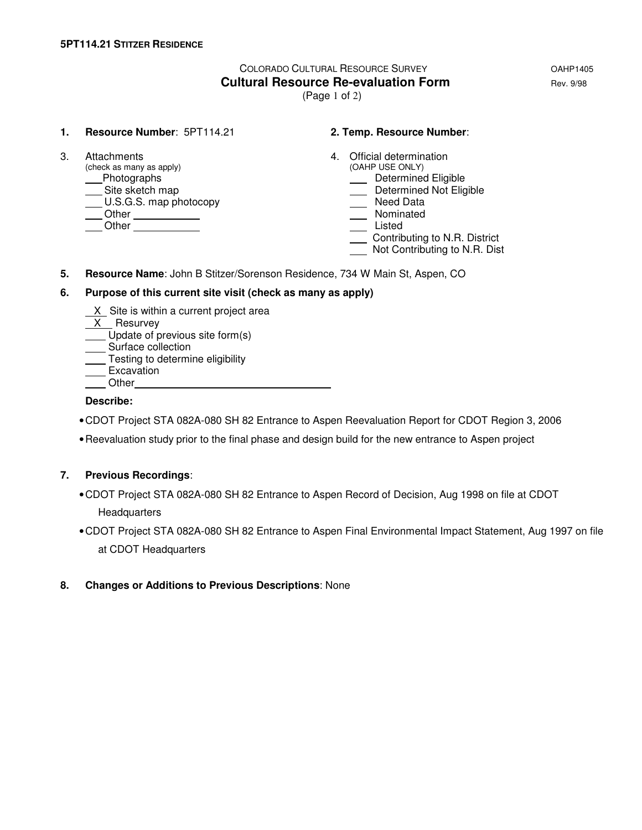# COLORADO CULTURAL RESOURCE SURVEY **COLORADO COLORADO Cultural Resource Re-evaluation Form Example 2018** Rev. 9/98

(Page 1 of 2)

#### **1. Resource Number**: 5PT114.21 **2. Temp. Resource Number**:

 $(check as many as apply)$ example and Determined Eligible<br>
Site sketch map<br>
Determined Not Elig  $U.S.G.S.$  map photocopy Other Nominated Listed **China Community** Community Community Community Community Community Community Community Community Community

- 3. Attachments 4. Official determination<br>
(check as many as apply) (OAHP USE ONLY)
	- - Determined Not Eligible<br>
		Need Data
	-
	-
	-
	- Contributing to N.R. District
	- Not Contributing to N.R. Dist
- **5. Resource Name**: John B Stitzer/Sorenson Residence, 734 W Main St, Aspen, CO

#### **6. Purpose of this current site visit (check as many as apply)**

- X Site is within a current project area
- X Resurvey
- Update of previous site form(s)
- Surface collection
- Testing to determine eligibility
- **Excavation**
- **Other**

### **Describe:**

- CDOT Project STA 082A-080 SH 82 Entrance to Aspen Reevaluation Report for CDOT Region 3, 2006
- Reevaluation study prior to the final phase and design build for the new entrance to Aspen project

### **7. Previous Recordings**:

- CDOT Project STA 082A-080 SH 82 Entrance to Aspen Record of Decision, Aug 1998 on file at CDOT Headquarters
- CDOT Project STA 082A-080 SH 82 Entrance to Aspen Final Environmental Impact Statement, Aug 1997 on file at CDOT Headquarters

### **8. Changes or Additions to Previous Descriptions**: None